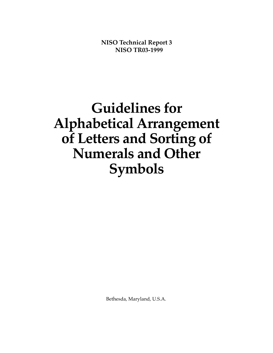**NISO Technical Report 3 NISO TR03-1999**

# **Guidelines for Alphabetical Arrangement of Letters and Sorting of Numerals and Other Symbols**

Bethesda, Maryland, U.S.A.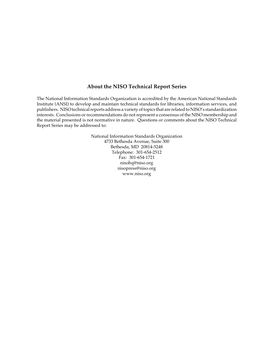#### **About the NISO Technical Report Series**

The National Information Standards Organization is accredited by the American National Standards Institute (ANSI) to develop and maintain technical standards for libraries, information services, and publishers. NISO technical reports address a variety of topics that are related to NISO's standardization interests. Conclusions or recommendations do not represent a consensus of the NISO membership and the material presented is not normative in nature. Questions or comments about the NISO Technical Report Series may be addressed to:

> National Information Standards Organization 4733 Bethesda Avenue, Suite 300 Bethesda, MD 20814-5248 Telephone: 301-654-2512 Fax: 301-654-1721 nisohq@niso.org nisopress@niso.org www.niso.org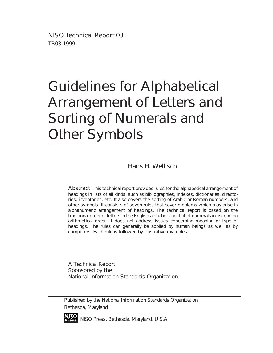NISO Technical Report 03 TR03-1999

# Guidelines for Alphabetical Arrangement of Letters and Sorting of Numerals and Other Symbols

Hans H. Wellisch

Abstract: This technical report provides rules for the alphabetical arrangement of headings in lists of all kinds, such as bibliographies, indexes, dictionaries, directories, inventories, etc. It also covers the sorting of Arabic or Roman numbers, and other symbols. It consists of seven rules that cover problems which may arise in alphanumeric arrangement of headings. The technical report is based on the traditional order of letters in the English alphabet and that of numerals in ascending arithmetical order. It does not address issues concerning meaning or type of headings. The rules can generally be applied by human beings as well as by computers. Each rule is followed by illustrative examples.

A Technical Report Sponsored by the National Information Standards Organization

Published by the National Information Standards Organization Bethesda, Maryland



**P r e s s** NISO Press, Bethesda, Maryland, U.S.A.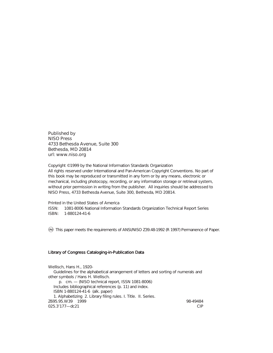Published by NISO Press 4733 Bethesda Avenue, Suite 300 Bethesda, MD 20814 url: www.niso.org

Copyright ©1999 by the National Information Standards Organization All rights reserved under International and Pan-American Copyright Conventions. No part of this book may be reproduced or transmitted in any form or by any means, electronic or mechanical, including photocopy, recording, or any information storage or retrieval system, without prior permission in writing from the publisher. All inquiries should be addressed to NISO Press, 4733 Bethesda Avenue, Suite 300, Bethesda, MD 20814.

Printed in the United States of America ISSN: 1081-8006 National Information Standards Organization Technical Report Series ISBN: 1-880124-41-6

 $\otimes$  This paper meets the requirements of ANSI/NISO Z39.48-1992 (R 1997) Permanence of Paper.

#### Library of Congress Cataloging-in-Publication Data

Wellisch, Hans H., 1920- Guidelines for the alphabetical arrangement of letters and sorting of numerals and other symbols / Hans H. Wellisch. p. cm. — (NISO technical report, ISSN 1081-8006) Includes bibliographical references (p. 11) and index. ISBN 1-880124-41-6 (alk. paper) 1. Alphabetizing 2. Library filing rules. I. Title. II. Series. Z695.95.W39 1999 98-49484  $025.3'177 - dc21$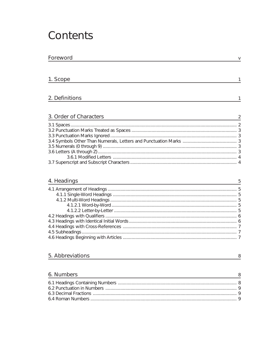## Contents

| Foreword               |  |
|------------------------|--|
|                        |  |
| 1. Scope               |  |
|                        |  |
| 2. Definitions         |  |
|                        |  |
| 3. Order of Characters |  |
|                        |  |
|                        |  |
|                        |  |
|                        |  |
|                        |  |
|                        |  |
|                        |  |
|                        |  |

### 4. Headings

### 5. Abbreviations

| ×  | ٧ |   |
|----|---|---|
|    | ٠ |   |
| ٠. |   | I |

 $\frac{8}{1}$ 

 $\overline{5}$ 

#### 6. Numbers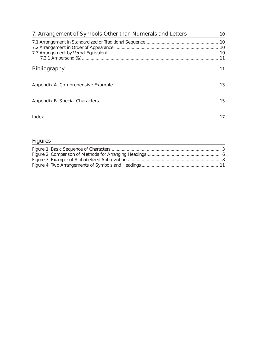| 7. Arrangement of Symbols Other than Numerals and Letters | 10  |
|-----------------------------------------------------------|-----|
|                                                           |     |
|                                                           |     |
|                                                           |     |
|                                                           | -11 |
| <b>Bibliography</b>                                       |     |
|                                                           |     |
| Appendix A Comprehensive Example                          | 13  |
| Appendix B Special Characters                             | 15  |
|                                                           |     |
| Index                                                     |     |

### **Figures**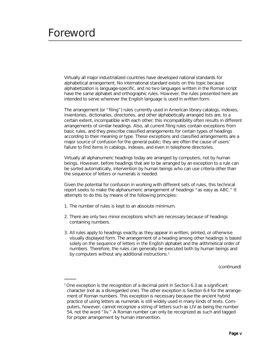## <span id="page-6-0"></span>Foreword

Virtually all major industrialized countries have developed national standards for alphabetical arrangement. No international standard exists on this topic because alphabetization is language-specific, and no two languages written in the Roman script have the same alphabet and orthographic rules. However, the rules presented here are intended to serve wherever the English language is used in written form.

The arrangement (or "filing") rules currently used in American library catalogs, indexes, inventories, dictionaries, directories, and other alphabetically arranged lists are, to a certain extent, incompatible with each other; this incompatibility often results in different arrangements of similar headings. Also, all current filing rules contain exceptions from basic rules, and they prescribe classified arrangements for certain types of headings according to their meaning or type. These exceptions and classified arrangements are a major source of confusion for the general public; they are often the cause of users' failure to find items in catalogs, indexes, and even in telephone directories.

Virtually all alphanumeric headings today are arranged by computers, not by human beings. However, before headings that are to be arranged by an exception to a rule can be sorted automatically, intervention by human beings who can use criteria other than the sequence of letters or numerals is needed.

Given the potential for confusion in working with different sets of rules, this technical report seeks to make the alphanumeric arrangement of headings "as easy as ABC." It attempts to do this by means of the following principles:

- 1. The number of rules is kept to an absolute minimum.
- 2. There are only two minor exceptions which are necessary because of headings containing numbers.
- 3. All rules apply to headings exactly as they appear in written, printed, or otherwise visually displayed form. The arrangement of a heading among other headings is based solely on the sequence of letters in the English alphabet and the arithmetical order of numbers. Therefore, the rules can generally be executed both by human beings and by computers without any additional instructions.<sup>1</sup>

(continued)

<sup>1</sup> One exception is the recognition of a decimal point in Section 6.3 as a significant character (not as a disregarded one). The other exception is Section 6.4 for the arrangement of Roman numbers. This exception is necessary because the ancient hybrid practice of using letters as numerals is still widely used in many kinds of texts. Computers, however, cannot recognize a string of letters such as LIV as being the number 54, not the word "liv." A Roman number can only be recognized as such and tagged for proper arrangement by human intervention.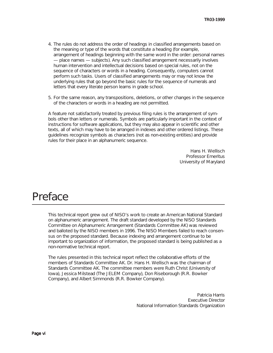- 4. The rules do not address the order of headings in classified arrangements based on the meaning or type of the words that constitute a heading (for example, arrangement of headings beginning with the same word in the order: personal names — place names — subjects). Any such classified arrangement necessarily involves human intervention and intellectual decisions based on special rules, not on the sequence of characters or words in a heading. Consequently, computers cannot perform such tasks. Users of classified arrangements may or may not know the underlying rules that go beyond the basic rules for the sequence of numerals and letters that every literate person learns in grade school.
- 5. For the same reason, any transpositions, deletions, or other changes in the sequence of the characters or words in a heading are not permitted.

A feature not satisfactorily treated by previous filing rules is the arrangement of symbols other than letters or numerals. Symbols are particularly important in the context of instructions for software applications, but they may also appear in scientific and other texts, all of which may have to be arranged in indexes and other ordered listings. These guidelines recognize symbols as characters (not as non-existing entities) and provide rules for their place in an alphanumeric sequence.

> Hans H. Wellisch Professor Emeritus University of Maryland

## Preface

This technical report grew out of NISO's work to create an American National Standard on alphanumeric arrangement. The draft standard developed by the NISO Standards Committee on Alphanumeric Arrangement (Standards Committee AK) was reviewed and balloted by the NISO members in 1996. The NISO Members failed to reach consensus on the proposed standard. Because indexing and arrangement continue to be important to organization of information, the proposed standard is being published as a non-normative technical report.

The rules presented in this technical report reflect the collaborative efforts of the members of Standards Committee AK. Dr. Hans H. Wellisch was the chairman of Standards Committee AK. The committee members were Ruth Christ (University of Iowa), Jessica Milstead (The JELEM Company), Don Riseborough (R.R. Bowker Company), and Albert Simmonds (R.R. Bowker Company).

> Patricia Harris Executive Director National Information Standards Organization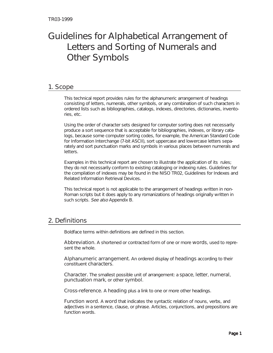## <span id="page-8-0"></span>Guidelines for Alphabetical Arrangement of Letters and Sorting of Numerals and Other Symbols

#### 1. Scope

This technical report provides rules for the alphanumeric arrangement of headings consisting of letters, numerals, other symbols, or any combination of such characters in ordered lists such as bibliographies, catalogs, indexes, directories, dictionaries, inventories, etc.

Using the order of character sets designed for computer sorting does not necessarily produce a sort sequence that is acceptable for bibliographies, indexes, or library catalogs, because some computer sorting codes, for example, the American Standard Code for Information Interchange (7-bit ASCII), sort uppercase and lowercase letters separately and sort punctuation marks and symbols in various places between numerals and letters.

Examples in this technical report are chosen to illustrate the application of its rules; they do not necessarily conform to existing cataloging or indexing rules. Guidelines for the compilation of indexes may be found in the NISO TR02, Guidelines for Indexes and Related Information Retrieval Devices.

This technical report is not applicable to the arrangement of headings written in non-Roman scripts but it does apply to any romanizations of headings originally written in such scripts. See also Appendix B.

### 2. Definitions

Boldface terms within definitions are defined in this section.

Abbreviation. A shortened or contracted form of one or more words, used to represent the whole.

Alphanumeric arrangement. An ordered display of headings according to their constituent characters.

Character. The smallest possible unit of arrangement: a space, letter, numeral, punctuation mark, or other symbol.

Cross-reference. A heading plus a link to one or more other headings.

Function word. A word that indicates the syntactic relation of nouns, verbs, and adjectives in a sentence, clause, or phrase. Articles, conjunctions, and prepositions are function words.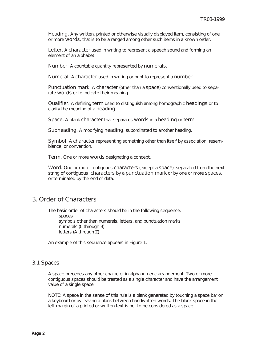<span id="page-9-0"></span>Heading. Any written, printed or otherwise visually displayed item, consisting of one or more words, that is to be arranged among other such items in a known order.

Letter. A character used in writing to represent a speech sound and forming an element of an alphabet.

Number. A countable quantity represented by numerals.

Numeral. A character used in writing or print to represent a number.

Punctuation mark. A character (other than a space) conventionally used to separate words or to indicate their meaning.

Qualifier. A defining term used to distinguish among homographic headings or to clarify the meaning of a **heading**.

Space. A blank character that separates words in a heading or term.

Subheading. A modifying heading, subordinated to another heading.

Symbol. A character representing something other than itself by association, resemblance, or convention.

Term. One or more words designating a concept.

Word. One or more contiguous characters (except a space), separated from the next string of contiguous characters by a punctuation mark or by one or more spaces, or terminated by the end of data.

#### 3. Order of Characters

The basic order of characters should be in the following sequence: spaces symbols other than numerals, letters, and punctuation marks numerals (0 through 9) letters (A through Z)

An example of this sequence appears in Figure 1.

#### 3.1 Spaces

A space precedes any other character in alphanumeric arrangement. Two or more contiguous spaces should be treated as a single character and have the arrangement value of a single space.

NOTE: A space in the sense of this rule is a blank generated by touching a space bar on a keyboard or by leaving a blank between handwritten words. The blank space in the left margin of a printed or written text is not to be considered as a space.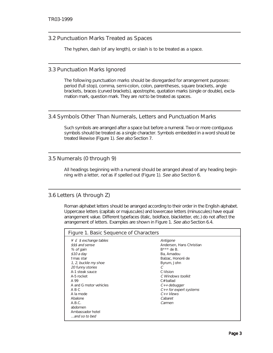#### <span id="page-10-0"></span>3.2 Punctuation Marks Treated as Spaces

The hyphen, dash (of any length), or slash is to be treated as a space.

#### 3.3 Punctuation Marks Ignored

The following punctuation marks should be disregarded for arrangement purposes: period (full stop), comma, semi-colon, colon, parentheses, square brackets, angle brackets, braces (curved brackets), apostrophe, quotation marks (single or double), exclamation mark, question mark. They are *not* to be treated as spaces.

#### 3.4 Symbols Other Than Numerals, Letters and Punctuation Marks

Such symbols are arranged after a space but before a numeral. Two or more contiguous symbols should be treated as a single character. Symbols embedded in a word should be treated likewise (Figure 1). See also Section 7.

#### 3.5 Numerals (0 through 9)

All headings beginning with a numeral should be arranged ahead of any heading beginning with a letter, not as if spelled out (Figure 1). See also Section 6.

#### 3.6 Letters (A through Z)

Roman alphabet letters should be arranged according to their order in the English alphabet. Uppercase letters (capitals or majuscules) and lowercase letters (minuscules) have equal arrangement value. Different typefaces (italic, boldface, blackletter, etc.) do not affect the arrangement of letters. Examples are shown in Figure 1. See also Section 6.4.

| Figure 1. Basic Sequence of Characters                                                                                                                                                                                                                                                            |                                                                                                                                                                                                                                             |  |  |
|---------------------------------------------------------------------------------------------------------------------------------------------------------------------------------------------------------------------------------------------------------------------------------------------------|---------------------------------------------------------------------------------------------------------------------------------------------------------------------------------------------------------------------------------------------|--|--|
| $\angle$ £ \$ exchange tables<br>\$\$\$ and sense<br>% of gain<br>$$10a$ day<br>tmas star<br>1, 2, buckle my shoe<br>20 funny stories<br>A-1 steak sauce<br>A-5 rocket<br>A 99<br>A and G motor vehicles<br>ABC<br>A la mode<br>Abalone<br>A.B.C.<br>abdomen<br>Ambassador hotel<br>and so to bed | Antigone<br>Andersen, Hans Christian<br>$B***$ de B.<br>Ba, Amadou<br>Balzac, Honoré de<br>Byrum, John<br>С<br>C-Vision<br>C Windows toolkit<br>$C#$ ballad<br>$C++debugger$<br>$C++$ for expert systems<br>$C++Views$<br>Cabaret<br>Carmen |  |  |
|                                                                                                                                                                                                                                                                                                   |                                                                                                                                                                                                                                             |  |  |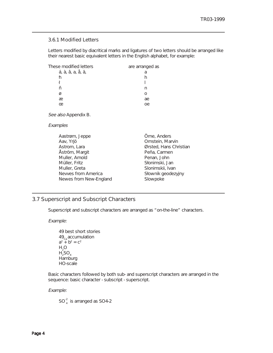#### <span id="page-11-0"></span>3.6.1 Modified Letters

Letters modified by diacritical marks and ligatures of two letters should be arranged like their nearest basic equivalent letters in the English alphabet, for example:

| These modified letters | are arranged as |
|------------------------|-----------------|
| á, à, â, a, å, ä,      | Я               |
| ħ                      |                 |
|                        |                 |
| ñ                      |                 |
| Ø                      |                 |
| æ                      | ae              |
| œ                      | оe              |
|                        |                 |

See also Appendix B.

Examples

| Aastrøm, Jeppe         | Örne, Anders           |
|------------------------|------------------------|
| Aav, Yrjö              | Ornstein, Marvin       |
| Astrom, Lara           | Ørsted, Hans Christian |
| Åström, Margit         | Peña, Carmen           |
| Muller, Arnold         | Penan, John            |
| Müller, Fritz          | Słonimski, Jan         |
| Muller, Greta          | Slonimskii, Ivan       |
| Nevves from America    | Słownik geodezyjny     |
| Newes from New-England | Slowpoke               |
|                        |                        |

#### 3.7 Superscript and Subscript Characters

Superscript and subscript characters are arranged as "on-the-line" characters.

Example:

```
49 best short stories
49<sub>Ca</sub> accumulation
a^2 + b^2 = c^2H_2OH_2SO_4Hamburg
HO-scale
```
Basic characters followed by both sub- and superscript characters are arranged in the sequence: basic character - subscript - superscript.

Example:

 $SO_4^2$  is arranged as SO4-2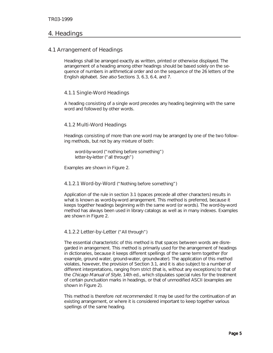#### <span id="page-12-0"></span>4. Headings

#### 4.1 Arrangement of Headings

Headings shall be arranged exactly as written, printed or otherwise displayed. The arrangement of a heading among other headings should be based solely on the sequence of numbers in arithmetical order and on the sequence of the 26 letters of the English alphabet. See also Sections 3, 6.3, 6.4, and 7.

#### 4.1.1 Single-Word Headings

A heading consisting of a single word precedes any heading beginning with the same word and followed by other words.

#### 4.1.2 Multi-Word Headings

Headings consisting of more than one word may be arranged by one of the two following methods, but not by any mixture of both:

word-by-word ("nothing before something") letter-by-letter ("all through")

Examples are shown in Figure 2.

#### 4.1.2.1 Word-by-Word ("Nothing before something")

Application of the rule in section 3.1 (spaces precede all other characters) results in what is known as word-by-word arrangement. This method is preferred, because it keeps together headings beginning with the same word (or words). The word-by-word method has always been used in library catalogs as well as in many indexes. Examples are shown in Figure 2.

#### 4.1.2.2 Letter-by-Letter ("All through")

The essential characteristic of this method is that spaces between words are disregarded in arrangement. This method is primarily used for the arrangement of headings in dictionaries, because it keeps different spellings of the same term together (for example, ground water, ground-water, groundwater). The application of this method violates, however, the provision of Section 3.1, and it is also subject to a number of different interpretations, ranging from strict (that is, without any exceptions) to that of the Chicago Manual of Style, 14th ed., which stipulates special rules for the treatment of certain punctuation marks in headings, or that of unmodified ASCII (examples are shown in Figure 2).

This method is therefore not recommended. It may be used for the continuation of an existing arrangement, or where it is considered important to keep together various spellings of the same heading.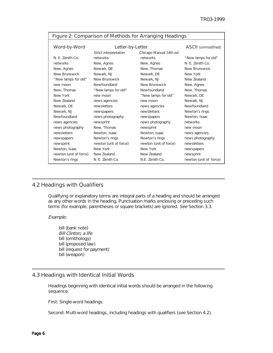| Figure 2: Comparison of Methods for Arranging Headings |                        |                         |                        |
|--------------------------------------------------------|------------------------|-------------------------|------------------------|
| Word-by-Word                                           | Letter-by-Letter       |                         | ASCII (unmodified)     |
|                                                        | Strict interpretation  | Chicago Manual 14th ed. |                        |
| N. E. Zenith Co.                                       | networks               | networks                | "New lamps for old"    |
| networks                                               | New, Agnes             | New, Agnes              | N. E. Zenith Co.       |
| New, Agnes                                             | Newark, DE             | New, Thomas             | New Brunswick          |
| New Brunswick                                          | Newark, NJ             | Newark, DE              | New York               |
| "New lamps for old"                                    | New Brunswick          | Newark, NJ              | New Zealand            |
| new moon                                               | Newfoundland           | New Brunswick           | New, Agnes             |
| New, Thomas                                            | "New lamps for old"    | Newfoundland            | New, Thomas            |
| New York                                               | new moon               | "New lamps for old"     | Newark, DE             |
| New Zealand                                            | news agencies          | new moon                | Newark, NJ             |
| Newark, DE                                             | newsletters            | news agencies           | Newfoundland           |
| Newark, NJ                                             | newspapers             | newsletters             | Newton's rings         |
| Newfoundland                                           | news photography       | newspapers              | Newton, Isaac          |
| news agencies                                          | newsprint              | news photography        | networks               |
| news photography                                       | New, Thomas            | newsprint               | new moon               |
| newsletters                                            | Newton, Isaac          | Newton, Isaac           | news agencies          |
| newspapers                                             | Newton's rings         | Newton's rings          | news photography       |
| newsprint                                              | newton (unit of force) | newton (unit of force)  | newsletters            |
| Newton, Isaac                                          | New York               | New York                | newspapers             |
| newton (unit of force)                                 | New Zealand            | New Zealand             | newsprint              |
| Newton's rings                                         | N. E. Zenith Co.       | N.E. Zenith Co.         | newton (unit of force) |

#### <span id="page-13-0"></span>Figure 2: Comparison of Methods for Arranging Headings

#### 4.2 Headings with Qualifiers

Qualifying or explanatory terms are integral parts of a heading and should be arranged as any other words in the heading. Punctuation marks enclosing or preceding such terms (for example, parentheses or square brackets) are ignored. See Section 3.3.

Example:

bill (bank note) Bill Clinton; a life bill (ornithology) bill (proposed law) bill (request for payment) bill (weapon)

#### 4.3 Headings with Identical Initial Words

Headings beginning with identical initial words should be arranged in the following sequence.

First: Single-word headings

Second: Multi-word headings, including headings with qualifiers (see Section 4.2).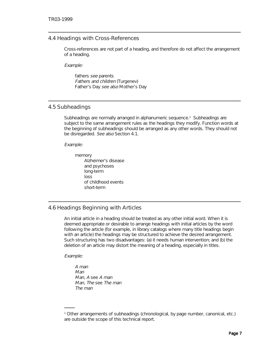#### <span id="page-14-0"></span>4.4 Headings with Cross-References

Cross-references are not part of a heading, and therefore do not affect the arrangement of a heading.

Example:

fathers see parents Fathers and children (Turgenev) Father's Day see also Mother's Day

#### 4.5 Subheadings

Subheadings are normally arranged in alphanumeric sequence.<sup>1</sup> Subheadings are subject to the same arrangement rules as the headings they modify. Function words at the beginning of subheadings should be arranged as any other words. They should not be disregarded. See also Section 4.1.

Example:

memory Alzheimer's disease and psychoses long-term loss of childhood events short-term

#### 4.6 Headings Beginning with Articles

An initial article in a heading should be treated as any other initial word. When it is deemed appropriate or desirable to arrange headings with initial articles by the word following the article (for example, in library catalogs where many title headings begin with an article) the headings may be structured to achieve the desired arrangement. Such structuring has two disadvantages: (a) it needs human intervention; and (b) the deletion of an article may distort the meaning of a heading, especially in titles.

Example:

A man Man Man, A see A man Man, The see The man The man

<sup>1</sup> Other arrangements of subheadings (chronological, by page number, canonical, etc.) are outside the scope of this technical report.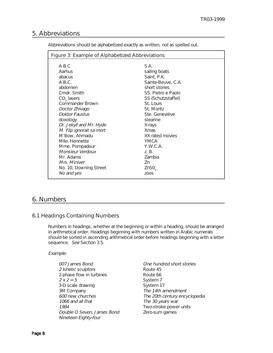#### <span id="page-15-0"></span>5. Abbreviations

Abbreviations should be alphabetized exactly as written, not as spelled out.

#### 6. Numbers

#### 6.1 Headings Containing Numbers

Numbers in headings, whether at the beginning or within a heading, should be arranged in arithmetical order. Headings beginning with numbers written in Arabic numerals should be sorted in ascending arithmetical order before headings beginning with a letter sequence. See Section 3.5.

#### Example:

007 James Bond 2 kinetic sculptors 2-phase flow in turbines  $2 x 2 = 5$ 3-D scale drawing 3M Company 600 new churches 1066 and all that 1984 Double O Seven, James Bond Nineteen Eighty-four

One hundred short stories Route 45 Route 66 System 7 System 17 The 14th amendment The 20th century encyclopedia The 30 years war Two-stroke power units Zero-sum games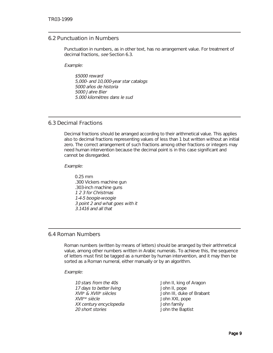#### <span id="page-16-0"></span>6.2 Punctuation in Numbers

Punctuation in numbers, as in other text, has no arrangement value. For treatment of decimal fractions, see Section 6.3.

Example:

\$5000 reward 5,000- and 10,000-year star catalogs 5000 años de historia 5000 Jahre Bier 5.000 kilomètres dans le sud

#### 6.3 Decimal Fractions

Decimal fractions should be arranged according to their arithmetical value. This applies also to decimal fractions representing values of less than 1 but written without an initial zero. The correct arrangement of such fractions among other fractions or integers may need human intervention because the decimal point is in this case significant and cannot be disregarded.

Example:

0.25 mm .300 Vickers machine gun .303-inch machine guns 1 2 3 for Christmas 1-4-5 boogie-woogie 3 point 2 and what goes with it 3.1416 and all that

#### 6.4 Roman Numbers

Roman numbers (written by means of letters) should be arranged by their arithmetical value, among other numbers written in Arabic numerals. To achieve this, the sequence of letters must first be tagged as a number by human intervention, and it may then be sorted as a Roman numeral, either manually or by an algorithm.

Example:

| John II, king of Aragon   |
|---------------------------|
| John II, pope             |
| John III, duke of Brabant |
| John XXI, pope            |
| John family               |
| John the Baptist          |
|                           |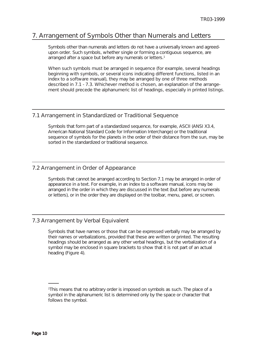#### <span id="page-17-0"></span>7. Arrangement of Symbols Other than Numerals and Letters

Symbols other than numerals and letters do not have a universally known and agreedupon order. Such symbols, whether single or forming a contiguous sequence, are arranged after a space but before any numerals or letters.<sup>1</sup>

When such symbols must be arranged in sequence (for example, several headings beginning with symbols, or several icons indicating different functions, listed in an index to a software manual), they may be arranged by one of three methods described in 7.1 - 7.3. Whichever method is chosen, an explanation of the arrangement should precede the alphanumeric list of headings, especially in printed listings.

#### 7.1 Arrangement in Standardized or Traditional Sequence

Symbols that form part of a standardized sequence, for example, ASCII (ANSI X3.4, American National Standard Code for Information Interchange) or the traditional sequence of symbols for the planets in the order of their distance from the sun, may be sorted in the standardized or traditional sequence.

#### 7.2 Arrangement in Order of Appearance

Symbols that cannot be arranged according to Section 7.1 may be arranged in order of appearance in a text. For example, in an index to a software manual, icons may be arranged in the order in which they are discussed in the text (but before any numerals or letters), or in the order they are displayed on the toolbar, menu, panel, or screen.

#### 7.3 Arrangement by Verbal Equivalent

Symbols that have names or those that can be expressed verbally may be arranged by their names or verbalizations, provided that these are written or printed. The resulting headings should be arranged as any other verbal headings, but the verbalization of a symbol may be enclosed in square brackets to show that it is not part of an actual heading (Figure 4).

<sup>1</sup> This means that no arbitrary order is imposed on symbols as such. The place of a symbol in the alphanumeric list is determined only by the space or character that follows the symbol.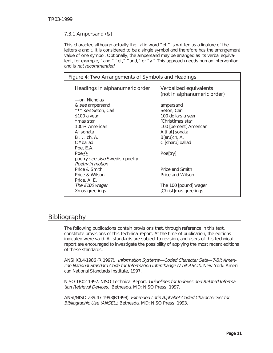#### <span id="page-18-0"></span>7.3.1 Ampersand (&)

This character, although actually the Latin word "et," is written as a ligature of the letters e and t. It is considered to be a single symbol and therefore has the arrangement value of one symbol. Optionally, the ampersand may be arranged as its verbal equivalent, for example, "and," "et," "und," or "y." This approach needs human intervention and is not recommended.

| Figure 4: Two Arrangements of Symbols and Headings |                                                       |  |  |
|----------------------------------------------------|-------------------------------------------------------|--|--|
| Headings in alphanumeric order                     | Verbalized equivalents<br>(not in alphanumeric order) |  |  |
| -on, Nicholas                                      |                                                       |  |  |
| & see ampersand                                    | ampersand                                             |  |  |
| *** see Seton, Carl                                | Seton, Carl                                           |  |  |
| \$100 a year                                       | 100 dollars a year                                    |  |  |
| tmas star                                          | [Christ]mas star                                      |  |  |
| 100% American                                      | 100 [percent] American                                |  |  |
| $Ab$ sonata                                        | A [flat] sonata                                       |  |  |
| $B \ldots ch$ , A.                                 | B[aru]ch, A.                                          |  |  |
| $C#$ ballad                                        | C [sharp] ballad                                      |  |  |
| Poe, E.A.                                          |                                                       |  |  |
| Poe $\hat{\triangle}$                              | Poe[try]                                              |  |  |
| poetry see also Swedish poetry                     |                                                       |  |  |
| Poetry in motion                                   |                                                       |  |  |
| Price & Smith                                      | Price and Smith                                       |  |  |
| Price & Wilson                                     | Price and Wilson                                      |  |  |
| Price, A. E.                                       |                                                       |  |  |
| The £100 wager                                     | The 100 [pound] wager                                 |  |  |
| Xmas greetings                                     | [Christ]mas greetings                                 |  |  |

#### Bibliography

The following publications contain provisions that, through reference in this text, constitute provisions of this technical report. At the time of publication, the editions indicated were valid. All standards are subject to revision, and users of this technical report are encouraged to investigate the possibility of applying the most recent editions of these standards.

ANSI X3.4-1986 (R 1997). Information Systems—Coded Character Sets—7-Bit American National Standard Code for Information Interchange (7-bit ASCII). New York: American National Standards Institute, 1997.

NISO TR02-1997. NISO Technical Report. Guidelines for Indexes and Related Information Retrieval Devices. Bethesda, MD: NISO Press, 1997.

ANSI/NISO Z39.47-1993(R1998). Extended Latin Alphabet Coded Character Set for Bibliographic Use (ANSEL). Bethesda, MD: NISO Press, 1993.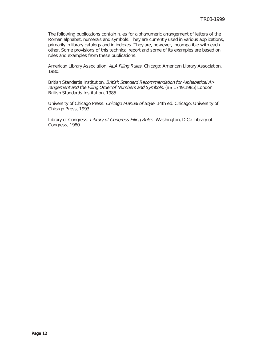The following publications contain rules for alphanumeric arrangement of letters of the Roman alphabet, numerals and symbols. They are currently used in various applications, primarily in library catalogs and in indexes. They are, however, incompatible with each other. Some provisions of this technical report and some of its examples are based on rules and examples from these publications.

American Library Association. ALA Filing Rules. Chicago: American Library Association, 1980.

British Standards Institution. British Standard Recommendation for Alphabetical Arrangement and the Filing Order of Numbers and Symbols. (BS 1749:1985) London: British Standards Institution, 1985.

University of Chicago Press. Chicago Manual of Style. 14th ed. Chicago: University of Chicago Press, 1993.

Library of Congress. Library of Congress Filing Rules. Washington, D.C.: Library of Congress, 1980.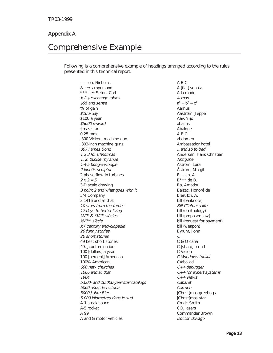#### <span id="page-20-0"></span>Appendix A

## Comprehensive Example

Following is a comprehensive example of headings arranged according to the rules presented in this technical report.

——on, Nicholas & see ampersand \*\*\* see Seton, Carl ¥ £ \$ exchange tables \$\$\$ and sense % of gain \$10 a day \$100 a year \$5000 reward †mas star 0.25 mm .300 Vickers machine gun .303-inch machine guns 007 James Bond 1 2 3 for Christmas 1, 2, buckle my shoe 1-4-5 boogie-woogie 2 kinetic sculptors 2-phase flow in turbines  $2 x 2 = 5$ 3-D scale drawing 3 point 2 and what goes with it 3M Company 3.1416 and all that 10 stars from the forties 17 days to better living XVIIe & XVIIIe siècles XVIIme siècle XX century encyclopedia 20 funny stories 20 short stories 49 best short stories  $49<sub>co</sub>$  contamination 100 [dollars] a year 100 [percent] American 100% American 600 new churches 1066 and all that 1984 5,000- and 10,000-year star catalogs 5000 años de historia 5000 Jahre Bier 5.000 kilomètres dans le sud A-1 steak sauce A-5 rocket A 99 A and G motor vehicles

A B C A [flat] sonata A la mode A man  $a^2 + b^2 = c^2$ Aarhus Aastrøm, Jeppe Aav, Yrjö abacus Abalone A.B.C. abdomen Ambassador hotel ...and so to bed Andersen, Hans Christian Antigone Astrom, Lara Åström, Margit B ... ch, A. B\*\*\* de B. Ba, Amadou Balzac, Honoré de B[aru]ch, A. bill (banknote) Bill Clinton: a life bill (ornithology) bill (proposed law) bill (request for payment) bill (weapon) Byrum, John C C & O canal C [sharp] ballad C-Vision C Windows toolkit C# ballad  $C++$  debugger  $C++$  for expert systems C++ Views Cabaret Carmen [Christ]mas greetings [Christ]mas star Cmdr. Smith CO<sub>2</sub> lasers Commander Brown Doctor Zhivago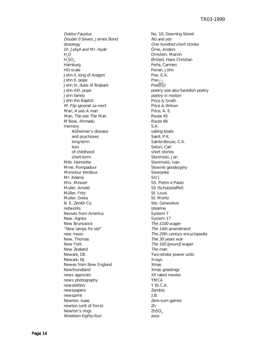Doktor Faustus Double 0 Seven, James Bond doxology Dr. Jekyll and Mr. Hyde  $H<sub>a</sub>O$  $H_2SO_4$ Hamburg HO-scale John II, king of Aragon John II, pope John III, duke of Brabant John XXI, pope John family John the Baptist M. Flip ignorait sa mort Man, A see A man Man, The see The Man M'Bow, Ahmadu memory Alzheimer's disease and psychoses long-term loss of childhood short-term Mlle. Henriette Mme. Pompadour Monsieur Verdoux Mr. Adams Mrs. Miniver Muller, Arnold Müller, Fritz Muller, Greta N. E. Zenith Co. networks Nevves from America New, Agnes New Brunswick "New lamps for old" new moon New, Thomas New York New Zealand Newark, DE Newark, NJ Newes from New England Newfoundland news agencies news photography newsletters newspapers newsprint Newton, Isaac newton (unit of force) Newton's rings Nineteen Eighty-four

 $SO<sub>4</sub><sup>2</sup>$ No. 10, Downing Street No and yes One hundred short stories Örne, Anders Ornstein, Marvin Ørsted, Hans Christian Peña, Carmen Penan, John Poe, E.A. Poe<sup>2</sup>} Poe[try] poetry see also Swedish poetry poetry in motion Price & Smith Price & Wilson Price, A. E. Route 45 Route 66 S.A. sailing boats Saint, P.K. Sainte-Beuve, C.A. Seton, Carl short stories Słonimski, Jan Slonimskii, Ivan Slownik geodezyjny Slowpoke SS. Pietro e Paolo SS (Schutzstaffel) St. Louis St. Moritz Ste. Geneviève stearine System 7 System 17 The £100 wager The 14th amendment The 20th century encyclopedia The 30 years war The 100 [pound] wager The man Two-stroke power units X-rays Xmas Xmas greetings XX rated movies YMCA Y.W.C.A. Zambia z.B. Zero-sum games Zn ZnSO<sub>4</sub> zoos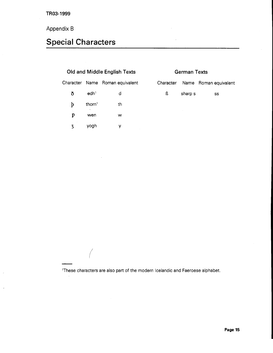### <span id="page-22-0"></span>Appendix B

## Special Characters

| Old and Middle English Texts |                    |                                 | Ger       |  |
|------------------------------|--------------------|---------------------------------|-----------|--|
|                              |                    | Character Name Roman equivalent | Character |  |
| ð                            | edh <sup>1</sup>   | d                               | ß         |  |
| $\cdot$ b                    | thorn <sup>1</sup> | th                              |           |  |
| P                            | wen                | w                               |           |  |
| 3                            | voah               | у                               |           |  |
|                              |                    |                                 |           |  |

 $\ddot{\phantom{a}}$ 

| <b>German Texts</b> |         |                                 |  |  |  |  |
|---------------------|---------|---------------------------------|--|--|--|--|
|                     |         | Character Name Roman equivalent |  |  |  |  |
| ß                   | sharp s | SS                              |  |  |  |  |
|                     |         |                                 |  |  |  |  |
|                     |         |                                 |  |  |  |  |

'These characters are also part of the modern Icelandic and Faeroese alphabet.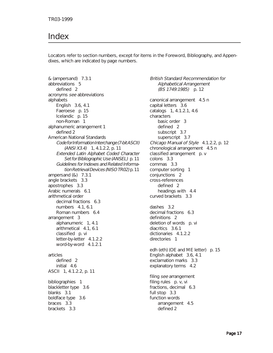## <span id="page-24-0"></span>Index

Locators refer to section numbers, except for items in the Foreword, Bibliography, and Appendixes, which are indicated by page numbers.

& (ampersand) 7.3.1 abbreviations 5 defined 2 acronyms see abbreviations alphabets English 3.6, 4.1 Faeroese p. 15 Icelandic p. 15 non-Roman 1 alphanumeric arrangement 1 defined 2 American National Standards Code for Information Interchange (7-bit ASCII)  $(ANSI X3.4)$  1, 4.1.2.2, p. 11 Extended Latin Alphabet Coded Character Set for Bibliographic Use (ANSEL) p. 11 Guidelines for Indexes and Related Information Retrieval Devices (NISO TR02) p. 11 ampersand (&) 7.3.1 angle brackets 3.3 apostrophes 3.3 Arabic numerals 6.1 arithmetical order decimal fractions 6.3 numbers 4.1, 6.1 Roman numbers 6.4 arrangement 3 alphanumeric 1, 4.1 arithmetical 4.1, 6.1 classified p. vi letter-by-letter 4.1.2.2 word-by-word 4.1.2.1 articles defined 2 initial 4.6 ASCII 1, 4.1.2.2, p. 11 bibliographies 1 blackletter type 3.6 blanks 3.1 boldface type 3.6 braces 3.3 brackets 3.3

British Standard Recommendation for Alphabetical Arrangement (BS 1749:1985) p. 12 canonical arrangement 4.5 n capital letters 3.6 catalogs 1, 4.1.2.1, 4.6 characters basic order 3 defined 2 subscript 3.7 superscript 3.7 Chicago Manual of Style 4.1.2.2, p. 12 chronological arrangement 4.5 n classified arrangement p. v colons 3.3 commas 3.3 computer sorting 1 conjunctions 2 cross-references defined 2 headings with 4.4 curved brackets 3.3 dashes 3.2 decimal fractions 6.3 definitions 2 deletion of words p. vi diacritics 3.6.1 dictionaries 4.1.2.2 directories 1 edh (eth) (OE and ME letter) p. 15 English alphabet 3.6, 4.1 exclamation marks 3.3 explanatory terms 4.2 filing see arrangement filing rules p. v, vi fractions, decimal 6.3 full stop 3.3 function words arrangement 4.5 defined 2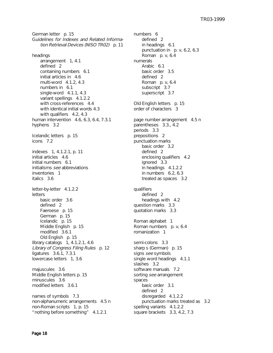German letter p. 15 Guidelines for Indexes and Related Information Retrieval Devices (NISO TR02) p. 11

headings arrangement 1, 4.1 defined 2 containing numbers 6.1 initial articles in 4.6 multi-word 4.1.2, 4.3 numbers in 6.1 single-word 4.1.1, 4.3 variant spellings 4.1.2.2 with cross-references 4.4 with identical initial words 4.3 with qualifiers 4.2, 4.3 human intervention 4.6, 6.3, 6.4, 7.3.1 hyphens 3.2 Icelandic letters p. 15 icons 7.2 indexes 1, 4.1.2.1, p. 11 initial articles 4.6 initial numbers 6.1 initialisms see abbreviations inventories 1 italics 3.6 letter-by-letter 4.1.2.2 letters basic order 3.6 defined 2 Faeroese p. 15 German p. 15 Icelandic p. 15 Middle English p. 15 modified 3.6.1 Old English p. 15 library catalogs 1, 4.1.2.1, 4.6 Library of Congress Filing Rules p. 12 ligatures 3.6.1, 7.3.1 lowercase letters 1, 3.6 majuscules 3.6 Middle English letters p. 15 minuscules 3.6 modified letters 3.6.1 names of symbols 7.3 non-alphanumeric arrangements 4.5 n non-Roman scripts 1, p. 15 "nothing before something" 4.1.2.1

numbers 6 defined 2 in headings 6.1 punctuation in p. v, 6.2, 6.3 Roman p. v, 6.4 numerals Arabic 6.1 basic order 3.5 defined 2 Roman p. v, 6.4 subscript 3.7 superscript 3.7 Old English letters p. 15 order of characters 3 page number arrangement 4.5 n parentheses 3.3., 4.2 periods 3.3 prepositions 2 punctuation marks basic order 3.2 defined 2 enclosing qualifiers 4.2 ignored 3.3 in headings 4.1.2.2 in numbers 6.2, 6.3 treated as spaces 3.2 qualifiers defined 2 headings with 4.2 question marks 3.3 quotation marks 3.3 Roman alphabet 1 Roman numbers p. v, 6.4 romanization 1 semi-colons 3.3 sharp s (German) p. 15 signs see symbols single word headings 4.1.1 slashes 3.2 software manuals 7.2 sorting see arrangement spaces basic order 3.1 defined 2 disregarded 4.1.2.2 punctuation marks treated as 3.2 spelling variants 4.1.2.2 square brackets 3.3, 4.2, 7.3